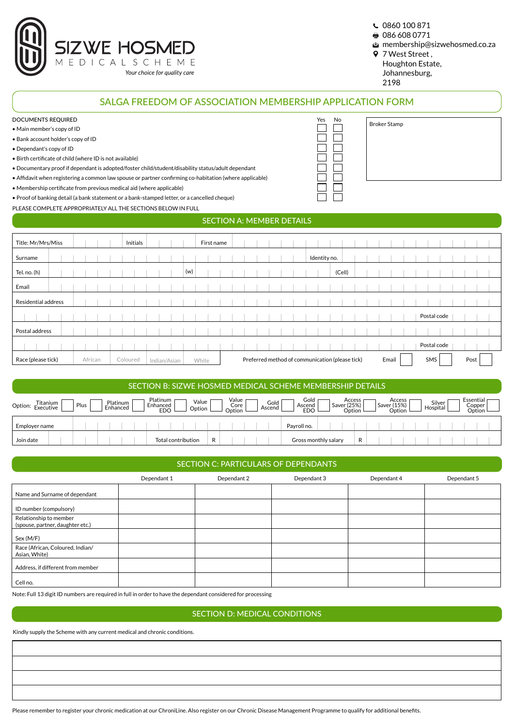

- 0860 100 871
- 086 608 0771
- membership@sizwehosmed.co.za
- 7 West Street ,
	- Houghton Estate,
	- Johannesburg, 2198

|                               |          | PLEASE COMPLETE APPROPRIATELY ALL THE SECTIONS BELOW IN FULL |                                  |                                                 |                      |
|-------------------------------|----------|--------------------------------------------------------------|----------------------------------|-------------------------------------------------|----------------------|
|                               |          |                                                              | <b>SECTION A: MEMBER DETAILS</b> |                                                 |                      |
| Title: Mr/Mrs/Miss            | Initials |                                                              | First name                       |                                                 |                      |
| Surname                       |          |                                                              |                                  | Identity no.                                    |                      |
| Tel. no. (h)                  |          | (w)                                                          |                                  | (Cell)                                          |                      |
| Email                         |          |                                                              |                                  |                                                 |                      |
| <b>Residential address</b>    |          |                                                              |                                  |                                                 |                      |
|                               |          |                                                              |                                  |                                                 | Postal code          |
| Postal address                |          |                                                              |                                  |                                                 |                      |
|                               |          |                                                              |                                  |                                                 |                      |
|                               |          |                                                              |                                  |                                                 | Postal code          |
| Race (please tick)<br>African | Coloured | Indian/Asian                                                 | White                            | Preferred method of communication (please tick) | SMS<br>Post<br>Email |

| Titanium<br>Option: Executive | Platinum<br>Plus<br>Enhanced | latinum<br>Enhanced<br>EDO | Value<br>Option         | Value<br>Gold<br>Core<br>Ascend<br>Option | Gold<br>Ascend<br><b>EDO</b> | Access<br>Saver (25%)<br>Option | Access<br>Saver (15%)<br>Option | Silver<br>Hospital | Essential<br>Copper<br>Option |
|-------------------------------|------------------------------|----------------------------|-------------------------|-------------------------------------------|------------------------------|---------------------------------|---------------------------------|--------------------|-------------------------------|
| Employer name                 |                              |                            |                         |                                           | Pavroll no.                  |                                 |                                 |                    |                               |
| Join date                     |                              |                            | Total contribution<br>R |                                           | Gross monthly salary         | R                               |                                 |                    |                               |

|  | SECTION C: PARTICULARS OF DEPENDANTS . |
|--|----------------------------------------|
|  |                                        |

|                                                            | Dependant 1 | Dependant 2 | Dependant 3 | Dependant 4 | Dependant 5 |
|------------------------------------------------------------|-------------|-------------|-------------|-------------|-------------|
| Name and Surname of dependant                              |             |             |             |             |             |
| ID number (compulsory)                                     |             |             |             |             |             |
| Relationship to member<br>(spouse, partner, daughter etc.) |             |             |             |             |             |
| Sex (M/F)                                                  |             |             |             |             |             |
| Race (African, Coloured, Indian/<br>Asian, White)          |             |             |             |             |             |
| Address, if different from member                          |             |             |             |             |             |
| Cell no.                                                   |             |             |             |             |             |

Note: Full 13 digit ID numbers are required in full in order to have the dependant considered for processing

## SECTION D: MEDICAL CONDITIONS

Kindly supply the Scheme with any current medical and chronic conditions.

Please remember to register your chronic medication at our ChroniLine. Also register on our Chronic Disease Management Programme to qualify for additional benefits.